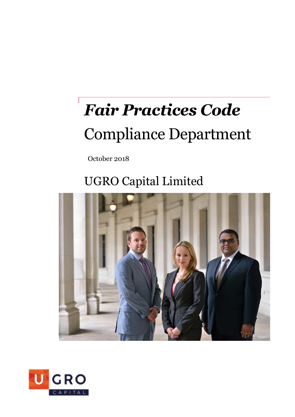# *Fair Practices Code* Compliance Department

October 2018

### UGRO Capital Limited



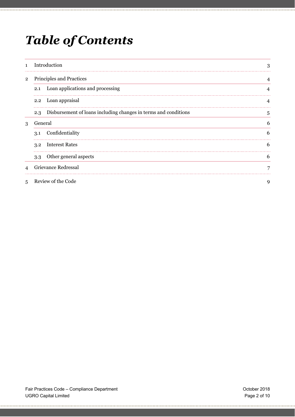### *Table of Contents*

| $\mathbf{1}$   | Introduction                                                           | 3 |
|----------------|------------------------------------------------------------------------|---|
| $\overline{2}$ | Principles and Practices                                               |   |
|                | Loan applications and processing<br>2.1                                |   |
|                | 2.2 Loan appraisal                                                     | 4 |
|                | Disbursement of loans including changes in terms and conditions<br>2.3 | 5 |
| 3              | General                                                                | 6 |
|                | 3.1 Confidentiality                                                    | 6 |
|                | 3.2 Interest Rates                                                     | 6 |
|                | Other general aspects<br>3.3                                           | 6 |
| $\overline{4}$ | Grievance Redressal                                                    |   |
|                | Review of the Code                                                     |   |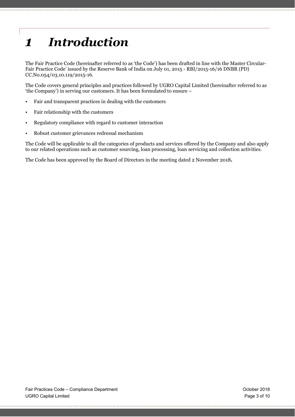## *1 Introduction*

The Fair Practice Code (hereinafter referred to as 'the Code') has been drafted in line with the Master Circular-Fair Practice Code' issued by the Reserve Bank of India on July 01, 2015 - RBI/2015-16/16 DNBR (PD) CC.No.054/03.10.119/2015-16.

The Code covers general principles and practices followed by UGRO Capital Limited (hereinafter referred to as 'the Company') in serving our customers. It has been formulated to ensure –

- Fair and transparent practices in dealing with the customers
- Fair relationship with the customers
- Regulatory compliance with regard to customer interaction
- Robust customer grievances redressal mechanism

The Code will be applicable to all the categories of products and services offered by the Company and also apply to our related operations such as customer sourcing, loan processing, loan servicing and collection activities.

The Code has been approved by the Board of Directors in the meeting dated 2 November 2018**.**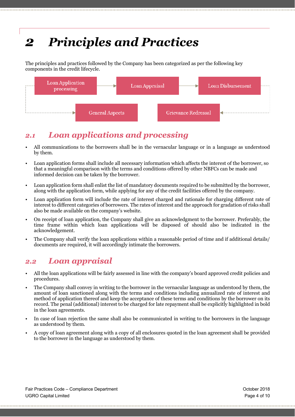### *2 Principles and Practices*

The principles and practices followed by the Company has been categorized as per the following key components in the credit lifecycle.



#### *2.1 Loan applications and processing*

- All communications to the borrowers shall be in the vernacular language or in a language as understood by them.
- Loan application forms shall include all necessary information which affects the interest of the borrower, so that a meaningful comparison with the terms and conditions offered by other NBFCs can be made and informed decision can be taken by the borrower.
- Loan application form shall enlist the list of mandatory documents required to be submitted by the borrower, along with the application form, while applying for any of the credit facilities offered by the company.
- Loan application form will include the rate of interest charged and rationale for charging different rate of interest to different categories of borrowers. The rates of interest and the approach for gradation of risks shall also be made available on the company's website.
- On receipt of loan application, the Company shall give an acknowledgment to the borrower. Preferably, the time frame within which loan applications will be disposed of should also be indicated in the acknowledgement.
- The Company shall verify the loan applications within a reasonable period of time and if additional details/ documents are required, it will accordingly intimate the borrowers.

#### *2.2 Loan appraisal*

- All the loan applications will be fairly assessed in line with the company's board approved credit policies and procedures.
- The Company shall convey in writing to the borrower in the vernacular language as understood by them, the amount of loan sanctioned along with the terms and conditions including annualized rate of interest and method of application thereof and keep the acceptance of these terms and conditions by the borrower on its record. The penal (additional) interest to be charged for late repayment shall be explicitly highlighted in bold in the loan agreements.
- In case of loan rejection the same shall also be communicated in writing to the borrowers in the language as understood by them.
- A copy of loan agreement along with a copy of all enclosures quoted in the loan agreement shall be provided to the borrower in the language as understood by them.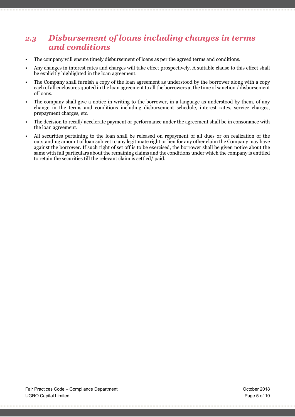#### *2.3 Disbursement of loans including changes in terms and conditions*

- The company will ensure timely disbursement of loans as per the agreed terms and conditions.
- Any changes in interest rates and charges will take effect prospectively. A suitable clause to this effect shall be explicitly highlighted in the loan agreement.
- The Company shall furnish a copy of the loan agreement as understood by the borrower along with a copy each of all enclosures quoted in the loan agreement to all the borrowers at the time of sanction / disbursement of loans.
- The company shall give a notice in writing to the borrower, in a language as understood by them, of any change in the terms and conditions including disbursement schedule, interest rates, service charges, prepayment charges, etc.
- The decision to recall/ accelerate payment or performance under the agreement shall be in consonance with the loan agreement.
- All securities pertaining to the loan shall be released on repayment of all dues or on realization of the outstanding amount of loan subject to any legitimate right or lien for any other claim the Company may have against the borrower. If such right of set off is to be exercised, the borrower shall be given notice about the same with full particulars about the remaining claims and the conditions under which the company is entitled to retain the securities till the relevant claim is settled/ paid.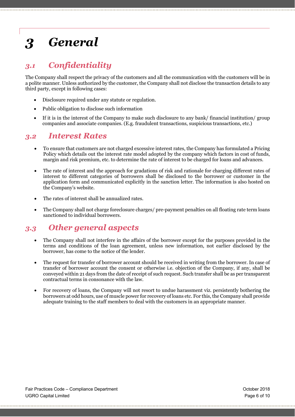## *3 General*

#### *3.1 Confidentiality*

The Company shall respect the privacy of the customers and all the communication with the customers will be in a polite manner. Unless authorized by the customer, the Company shall not disclose the transaction details to any third party, except in following cases:

- Disclosure required under any statute or regulation.
- Public obligation to disclose such information
- If it is in the interest of the Company to make such disclosure to any bank/ financial institution/ group companies and associate companies. (E.g. fraudulent transactions, suspicious transactions, etc.)

#### *3.2 Interest Rates*

- To ensure that customers are not charged excessive interest rates, the Company has formulated a Pricing Policy which details out the interest rate model adopted by the company which factors in cost of funds, margin and risk premium, etc. to determine the rate of interest to be charged for loans and advances.
- The rate of interest and the approach for gradations of risk and rationale for charging different rates of interest to different categories of borrowers shall be disclosed to the borrower or customer in the application form and communicated explicitly in the sanction letter. The information is also hosted on the Company's website.
- The rates of interest shall be annualized rates.
- The Company shall not charge foreclosure charges/ pre-payment penalties on all floating rate term loans sanctioned to individual borrowers.

#### *3.3 Other general aspects*

- The Company shall not interfere in the affairs of the borrower except for the purposes provided in the terms and conditions of the loan agreement, unless new information, not earlier disclosed by the borrower, has come to the notice of the lender.
- The request for transfer of borrower account should be received in writing from the borrower. In case of transfer of borrower account the consent or otherwise i.e. objection of the Company, if any, shall be conveyed within 21 days from the date of receipt of such request. Such transfer shall be as per transparent contractual terms in consonance with the law.
- For recovery of loans, the Company will not resort to undue harassment viz. persistently bothering the borrowers at odd hours, use of muscle power for recovery of loans etc. For this, the Company shall provide adequate training to the staff members to deal with the customers in an appropriate manner.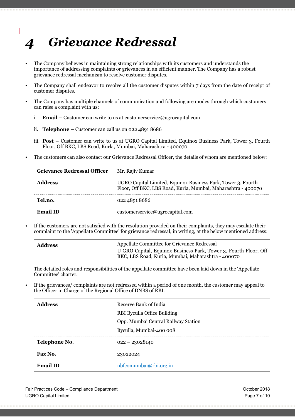### *4 Grievance Redressal*

- The Company believes in maintaining strong relationships with its customers and understands the importance of addressing complaints or grievances in an efficient manner. The Company has a robust grievance redressal mechanism to resolve customer disputes.
- The Company shall endeavor to resolve all the customer disputes within 7 days from the date of receipt of customer disputes.
- The Company has multiple channels of communication and following are modes through which customers can raise a complaint with us;
	- i. **Email –** Customer can write to us at customerservice@ugrocapital.com
	- ii. **Telephone –** Customer can call us on 022 4891 8686
	- iii. **Post –** Customer can write to us at UGRO Capital Limited, Equinox Business Park, Tower 3, Fourth Floor, Off BKC, LBS Road, Kurla, Mumbai, Maharashtra - 400070
- The customers can also contact our Grievance Redressal Officer, the details of whom are mentioned below:

| <b>Grievance Redressal Officer</b> | Mr. Rajiv Kumar                                                                                                               |
|------------------------------------|-------------------------------------------------------------------------------------------------------------------------------|
| Address                            | UGRO Capital Limited, Equinox Business Park, Tower 3, Fourth<br>Floor, Off BKC, LBS Road, Kurla, Mumbai, Maharashtra - 400070 |
| Tel.no.                            | 022 4891 8686                                                                                                                 |
| <b>Email ID</b>                    | customerservice@ugrocapital.com                                                                                               |

• If the customers are not satisfied with the resolution provided on their complaints, they may escalate their complaint to the 'Appellate Committee' for grievance redressal, in writing, at the below mentioned address:

| <b>Address</b> | Appellate Committee for Grievance Redressal                                                                            |
|----------------|------------------------------------------------------------------------------------------------------------------------|
|                | U GRO Capital, Equinox Business Park, Tower 3, Fourth Floor, Off<br>BKC, LBS Road, Kurla, Mumbai, Maharashtra - 400070 |

The detailed roles and responsibilities of the appellate committee have been laid down in the 'Appellate Committee' charter.

• If the grievances/ complaints are not redressed within a period of one month, the customer may appeal to the Officer in Charge of the Regional Office of DNBS of RBI.

| <b>Address</b>  | Reserve Bank of India               |
|-----------------|-------------------------------------|
|                 | RBI Byculla Office Building         |
|                 | Opp. Mumbai Central Railway Station |
|                 | Byculla, Mumbai-400 008             |
| Telephone No.   | $022 - 23028140$                    |
| Fax No.         | 23022024                            |
| <b>Email ID</b> | nbfcomumbai@rbi.org.in              |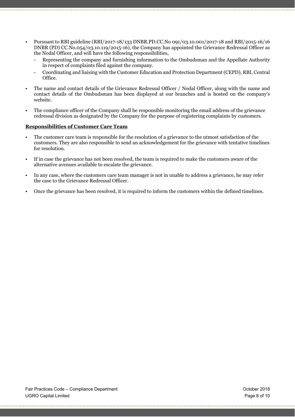- Pursuant to RBI guideline (RBI/2017-18/133 DNBR.PD.CC.No 091/03.10.001/2017-18 and RBI/2015-16/16 DNBR (PD) CC.No.054/03.10.119/2015-16), the Company has appointed the Grievance Redressal Officer as the Nodal Officer, and will have the following responsibilities,
	- Representing the company and furnishing information to the Ombudsman and the Appellate Authority in respect of complaints filed against the company.
	- Coordinating and liaising with the Customer Education and Protection Department (CEPD), RBI, Central Office.
- The name and contact details of the Grievance Redressal Officer / Nodal Officer, along with the name and contact details of the Ombudsman has been displayed at our branches and is hosted on the company's website.
- The compliance officer of the Company shall be responsible monitoring the email address of the grievance redressal division as designated by the Company for the purpose of registering complaints by customers.

#### **Responsibilities of Customer Care Team**

- The customer care team is responsible for the resolution of a grievance to the utmost satisfaction of the customers. They are also responsible to send an acknowledgement for the grievance with tentative timelines for resolution.
- If in case the grievance has not been resolved, the team is required to make the customers aware of the alternative avenues available to escalate the grievance.
- In any case, where the customers care team manager is not in unable to address a grievance, he may refer the case to the Grievance Redressal Officer.
- Once the grievance has been resolved, it is required to inform the customers within the defined timelines.